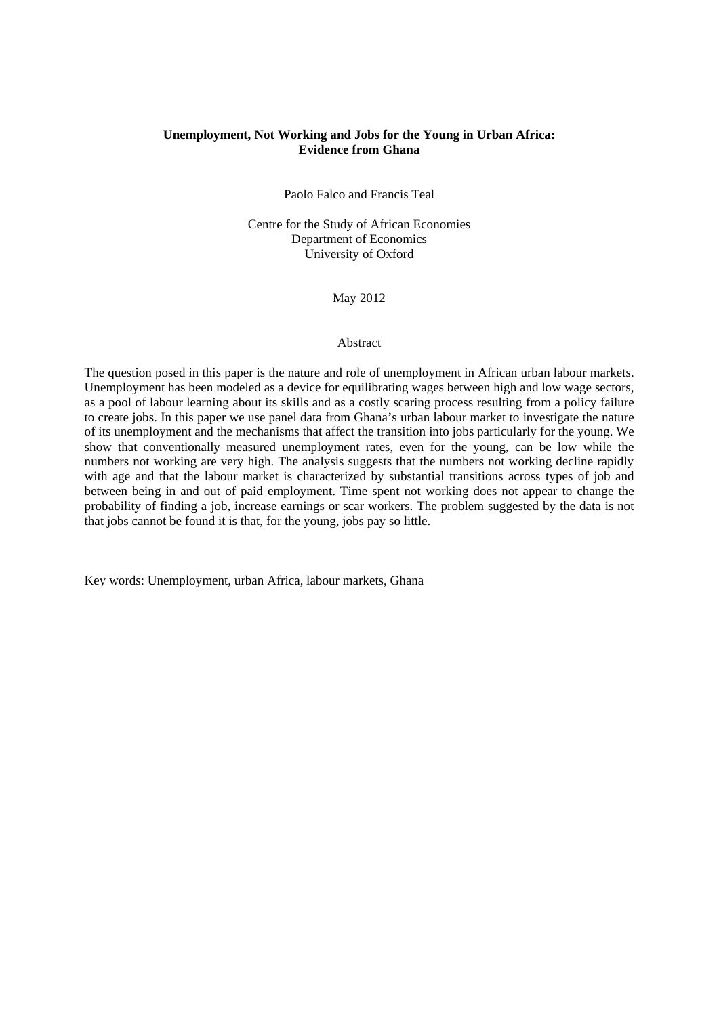# **Unemployment, Not Working and Jobs for the Young in Urban Africa: Evidence from Ghana**

Paolo Falco and Francis Teal

Centre for the Study of African Economies Department of Economics University of Oxford

May 2012

### Abstract

The question posed in this paper is the nature and role of unemployment in African urban labour markets. Unemployment has been modeled as a device for equilibrating wages between high and low wage sectors, as a pool of labour learning about its skills and as a costly scaring process resulting from a policy failure to create jobs. In this paper we use panel data from Ghana's urban labour market to investigate the nature of its unemployment and the mechanisms that affect the transition into jobs particularly for the young. We show that conventionally measured unemployment rates, even for the young, can be low while the numbers not working are very high. The analysis suggests that the numbers not working decline rapidly with age and that the labour market is characterized by substantial transitions across types of job and between being in and out of paid employment. Time spent not working does not appear to change the probability of finding a job, increase earnings or scar workers. The problem suggested by the data is not that jobs cannot be found it is that, for the young, jobs pay so little.

Key words: Unemployment, urban Africa, labour markets, Ghana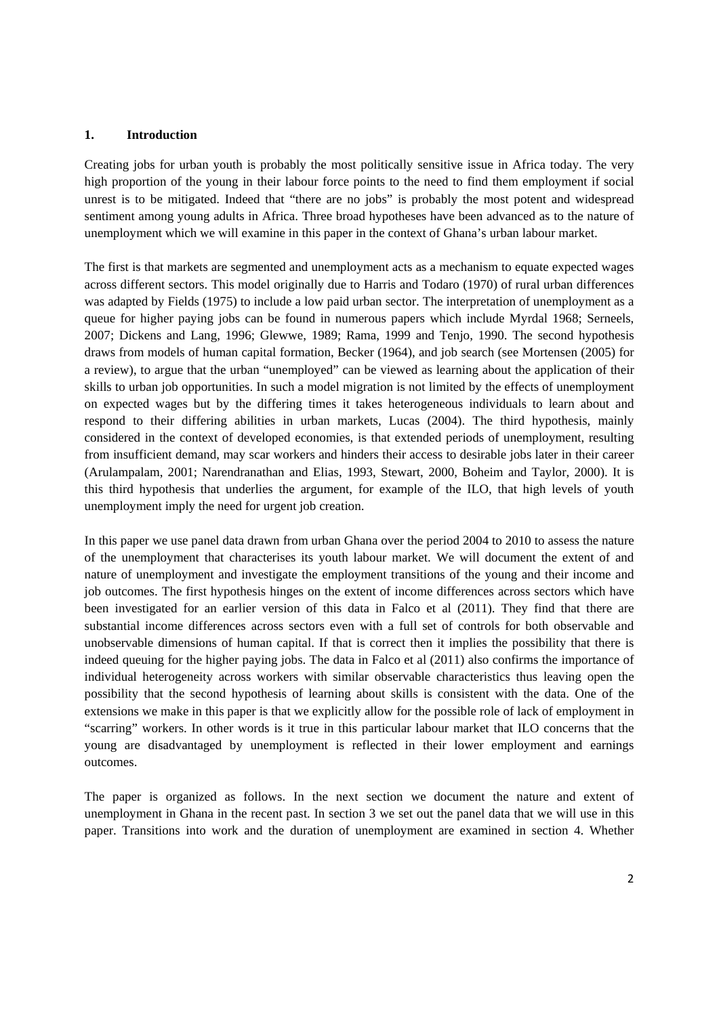### **1. Introduction**

Creating jobs for urban youth is probably the most politically sensitive issue in Africa today. The very high proportion of the young in their labour force points to the need to find them employment if social unrest is to be mitigated. Indeed that "there are no jobs" is probably the most potent and widespread sentiment among young adults in Africa. Three broad hypotheses have been advanced as to the nature of unemployment which we will examine in this paper in the context of Ghana's urban labour market.

The first is that markets are segmented and unemployment acts as a mechanism to equate expected wages across different sectors. This model originally due to Harris and Todaro (1970) of rural urban differences was adapted by Fields (1975) to include a low paid urban sector. The interpretation of unemployment as a queue for higher paying jobs can be found in numerous papers which include Myrdal 1968; Serneels, 2007; Dickens and Lang, 1996; Glewwe, 1989; Rama, 1999 and Tenjo, 1990. The second hypothesis draws from models of human capital formation, Becker (1964), and job search (see Mortensen (2005) for a review), to argue that the urban "unemployed" can be viewed as learning about the application of their skills to urban job opportunities. In such a model migration is not limited by the effects of unemployment on expected wages but by the differing times it takes heterogeneous individuals to learn about and respond to their differing abilities in urban markets, Lucas (2004). The third hypothesis, mainly considered in the context of developed economies, is that extended periods of unemployment, resulting from insufficient demand, may scar workers and hinders their access to desirable jobs later in their career (Arulampalam, 2001; Narendranathan and Elias, 1993, Stewart, 2000, Boheim and Taylor, 2000). It is this third hypothesis that underlies the argument, for example of the ILO, that high levels of youth unemployment imply the need for urgent job creation.

In this paper we use panel data drawn from urban Ghana over the period 2004 to 2010 to assess the nature of the unemployment that characterises its youth labour market. We will document the extent of and nature of unemployment and investigate the employment transitions of the young and their income and job outcomes. The first hypothesis hinges on the extent of income differences across sectors which have been investigated for an earlier version of this data in Falco et al (2011). They find that there are substantial income differences across sectors even with a full set of controls for both observable and unobservable dimensions of human capital. If that is correct then it implies the possibility that there is indeed queuing for the higher paying jobs. The data in Falco et al (2011) also confirms the importance of individual heterogeneity across workers with similar observable characteristics thus leaving open the possibility that the second hypothesis of learning about skills is consistent with the data. One of the extensions we make in this paper is that we explicitly allow for the possible role of lack of employment in "scarring" workers. In other words is it true in this particular labour market that ILO concerns that the young are disadvantaged by unemployment is reflected in their lower employment and earnings outcomes.

The paper is organized as follows. In the next section we document the nature and extent of unemployment in Ghana in the recent past. In section 3 we set out the panel data that we will use in this paper. Transitions into work and the duration of unemployment are examined in section 4. Whether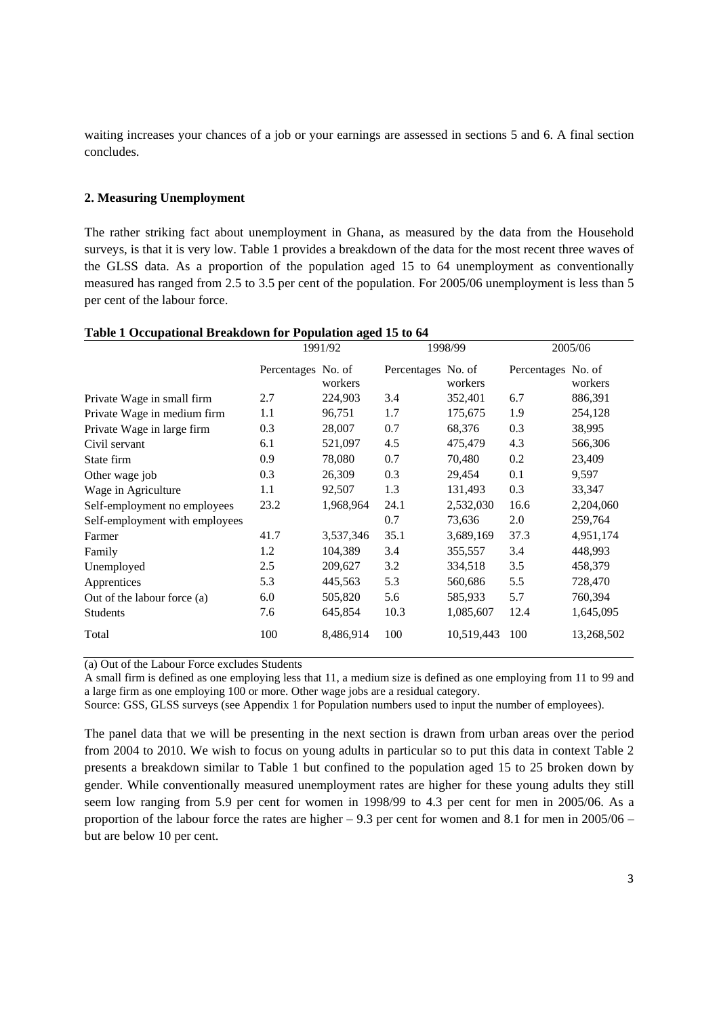waiting increases your chances of a job or your earnings are assessed in sections 5 and 6. A final section concludes.

### **2. Measuring Unemployment**

The rather striking fact about unemployment in Ghana, as measured by the data from the Household surveys, is that it is very low. Table 1 provides a breakdown of the data for the most recent three waves of the GLSS data. As a proportion of the population aged 15 to 64 unemployment as conventionally measured has ranged from 2.5 to 3.5 per cent of the population. For 2005/06 unemployment is less than 5 per cent of the labour force.

|                                | 1991/92            |           | 1998/99            |            | 2005/06            |            |
|--------------------------------|--------------------|-----------|--------------------|------------|--------------------|------------|
|                                | Percentages No. of | workers   | Percentages No. of | workers    | Percentages No. of | workers    |
| Private Wage in small firm     | 2.7                | 224,903   | 3.4                | 352,401    | 6.7                | 886,391    |
| Private Wage in medium firm    | 1.1                | 96,751    | 1.7                | 175,675    | 1.9                | 254,128    |
| Private Wage in large firm     | 0.3                | 28,007    | 0.7                | 68,376     | 0.3                | 38,995     |
| Civil servant                  | 6.1                | 521,097   | 4.5                | 475,479    | 4.3                | 566,306    |
| State firm                     | 0.9                | 78,080    | 0.7                | 70,480     | 0.2                | 23,409     |
| Other wage job                 | 0.3                | 26,309    | 0.3                | 29,454     | 0.1                | 9,597      |
| Wage in Agriculture            | 1.1                | 92,507    | 1.3                | 131,493    | 0.3                | 33,347     |
| Self-employment no employees   | 23.2               | 1,968,964 | 24.1               | 2,532,030  | 16.6               | 2,204,060  |
| Self-employment with employees |                    |           | 0.7                | 73,636     | 2.0                | 259,764    |
| Farmer                         | 41.7               | 3,537,346 | 35.1               | 3,689,169  | 37.3               | 4,951,174  |
| Family                         | 1.2                | 104,389   | 3.4                | 355,557    | 3.4                | 448,993    |
| Unemployed                     | 2.5                | 209,627   | 3.2                | 334,518    | 3.5                | 458,379    |
| Apprentices                    | 5.3                | 445,563   | 5.3                | 560,686    | 5.5                | 728,470    |
| Out of the labour force (a)    | 6.0                | 505,820   | 5.6                | 585,933    | 5.7                | 760,394    |
| <b>Students</b>                | 7.6                | 645,854   | 10.3               | 1,085,607  | 12.4               | 1,645,095  |
| Total                          | 100                | 8,486,914 | 100                | 10,519,443 | 100                | 13,268,502 |

### **Table 1 Occupational Breakdown for Population aged 15 to 64**

(a) Out of the Labour Force excludes Students

A small firm is defined as one employing less that 11, a medium size is defined as one employing from 11 to 99 and a large firm as one employing 100 or more. Other wage jobs are a residual category.

Source: GSS, GLSS surveys (see Appendix 1 for Population numbers used to input the number of employees).

The panel data that we will be presenting in the next section is drawn from urban areas over the period from 2004 to 2010. We wish to focus on young adults in particular so to put this data in context Table 2 presents a breakdown similar to Table 1 but confined to the population aged 15 to 25 broken down by gender. While conventionally measured unemployment rates are higher for these young adults they still seem low ranging from 5.9 per cent for women in 1998/99 to 4.3 per cent for men in 2005/06. As a proportion of the labour force the rates are higher  $-9.3$  per cent for women and 8.1 for men in 2005/06  $$ but are below 10 per cent.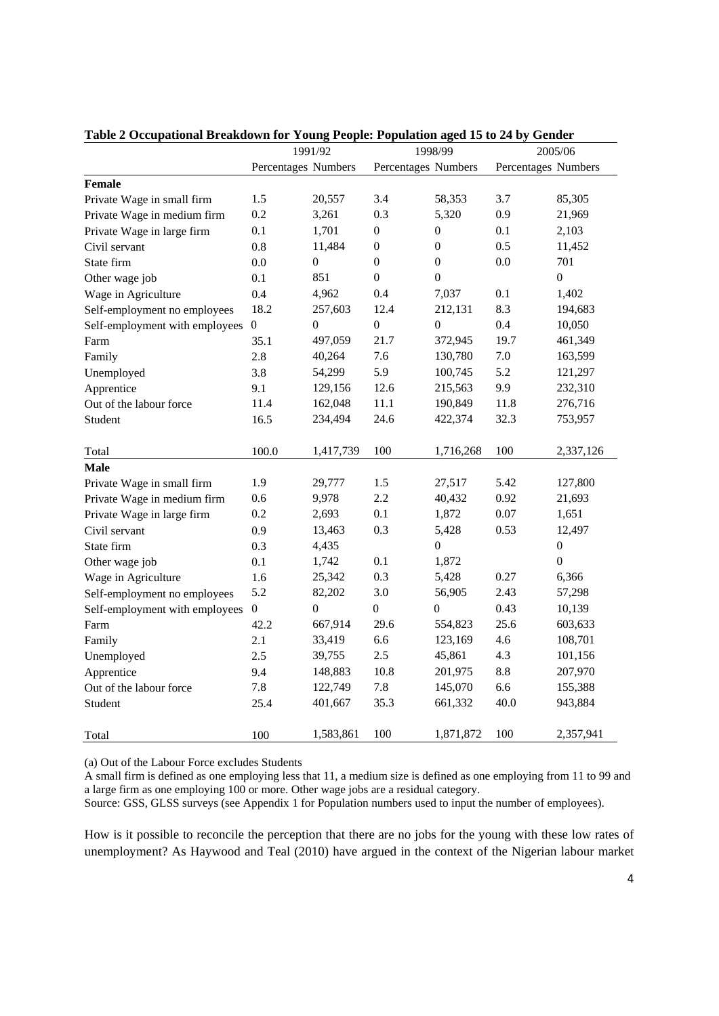|                                | 1991/92<br>1998/99  |                | 2005/06             |                  |                     |                  |
|--------------------------------|---------------------|----------------|---------------------|------------------|---------------------|------------------|
|                                | Percentages Numbers |                | Percentages Numbers |                  | Percentages Numbers |                  |
| <b>Female</b>                  |                     |                |                     |                  |                     |                  |
| Private Wage in small firm     | 1.5                 | 20,557         | 3.4                 | 58,353           | 3.7                 | 85,305           |
| Private Wage in medium firm    | 0.2                 | 3,261          | 0.3                 | 5,320            | 0.9                 | 21,969           |
| Private Wage in large firm     | 0.1                 | 1,701          | $\boldsymbol{0}$    | $\boldsymbol{0}$ | 0.1                 | 2,103            |
| Civil servant                  | 0.8                 | 11,484         | $\overline{0}$      | $\boldsymbol{0}$ | 0.5                 | 11,452           |
| State firm                     | 0.0                 | $\mathbf{0}$   | $\overline{0}$      | $\boldsymbol{0}$ | 0.0                 | 701              |
| Other wage job                 | 0.1                 | 851            | $\overline{0}$      | $\boldsymbol{0}$ |                     | $\theta$         |
| Wage in Agriculture            | 0.4                 | 4,962          | 0.4                 | 7,037            | 0.1                 | 1,402            |
| Self-employment no employees   | 18.2                | 257,603        | 12.4                | 212,131          | 8.3                 | 194,683          |
| Self-employment with employees | $\boldsymbol{0}$    | $\overline{0}$ | $\boldsymbol{0}$    | $\overline{0}$   | 0.4                 | 10,050           |
| Farm                           | 35.1                | 497,059        | 21.7                | 372,945          | 19.7                | 461,349          |
| Family                         | 2.8                 | 40,264         | 7.6                 | 130,780          | 7.0                 | 163,599          |
| Unemployed                     | 3.8                 | 54,299         | 5.9                 | 100,745          | 5.2                 | 121,297          |
| Apprentice                     | 9.1                 | 129,156        | 12.6                | 215,563          | 9.9                 | 232,310          |
| Out of the labour force        | 11.4                | 162,048        | 11.1                | 190,849          | 11.8                | 276,716          |
| Student                        | 16.5                | 234,494        | 24.6                | 422,374          | 32.3                | 753,957          |
|                                |                     |                |                     |                  |                     |                  |
| Total                          | 100.0               | 1,417,739      | 100                 | 1,716,268        | 100                 | 2,337,126        |
| <b>Male</b>                    |                     |                |                     |                  |                     |                  |
| Private Wage in small firm     | 1.9                 | 29,777         | 1.5                 | 27,517           | 5.42                | 127,800          |
| Private Wage in medium firm    | 0.6                 | 9,978          | 2.2                 | 40,432           | 0.92                | 21,693           |
| Private Wage in large firm     | 0.2                 | 2,693          | 0.1                 | 1,872            | 0.07                | 1,651            |
| Civil servant                  | 0.9                 | 13,463         | 0.3                 | 5,428            | 0.53                | 12,497           |
| State firm                     | 0.3                 | 4,435          |                     | $\mathbf{0}$     |                     | $\boldsymbol{0}$ |
| Other wage job                 | 0.1                 | 1,742          | 0.1                 | 1,872            |                     | $\overline{0}$   |
| Wage in Agriculture            | 1.6                 | 25,342         | 0.3                 | 5,428            | 0.27                | 6,366            |
| Self-employment no employees   | 5.2                 | 82,202         | 3.0                 | 56,905           | 2.43                | 57,298           |
| Self-employment with employees | $\boldsymbol{0}$    | $\mathbf{0}$   | $\boldsymbol{0}$    | $\overline{0}$   | 0.43                | 10,139           |
| Farm                           | 42.2                | 667,914        | 29.6                | 554,823          | 25.6                | 603,633          |
| Family                         | 2.1                 | 33,419         | 6.6                 | 123,169          | 4.6                 | 108,701          |
| Unemployed                     | 2.5                 | 39,755         | 2.5                 | 45,861           | 4.3                 | 101,156          |
| Apprentice                     | 9.4                 | 148,883        | 10.8                | 201,975          | 8.8                 | 207,970          |
| Out of the labour force        | 7.8                 | 122,749        | 7.8                 | 145,070          | 6.6                 | 155,388          |
| Student                        | 25.4                | 401,667        | 35.3                | 661,332          | 40.0                | 943,884          |
|                                |                     |                |                     |                  |                     |                  |
| Total                          | 100                 | 1,583,861      | 100                 | 1,871,872        | 100                 | 2,357,941        |

**Table 2 Occupational Breakdown for Young People: Population aged 15 to 24 by Gender** 

(a) Out of the Labour Force excludes Students

A small firm is defined as one employing less that 11, a medium size is defined as one employing from 11 to 99 and a large firm as one employing 100 or more. Other wage jobs are a residual category.

Source: GSS, GLSS surveys (see Appendix 1 for Population numbers used to input the number of employees).

How is it possible to reconcile the perception that there are no jobs for the young with these low rates of unemployment? As Haywood and Teal (2010) have argued in the context of the Nigerian labour market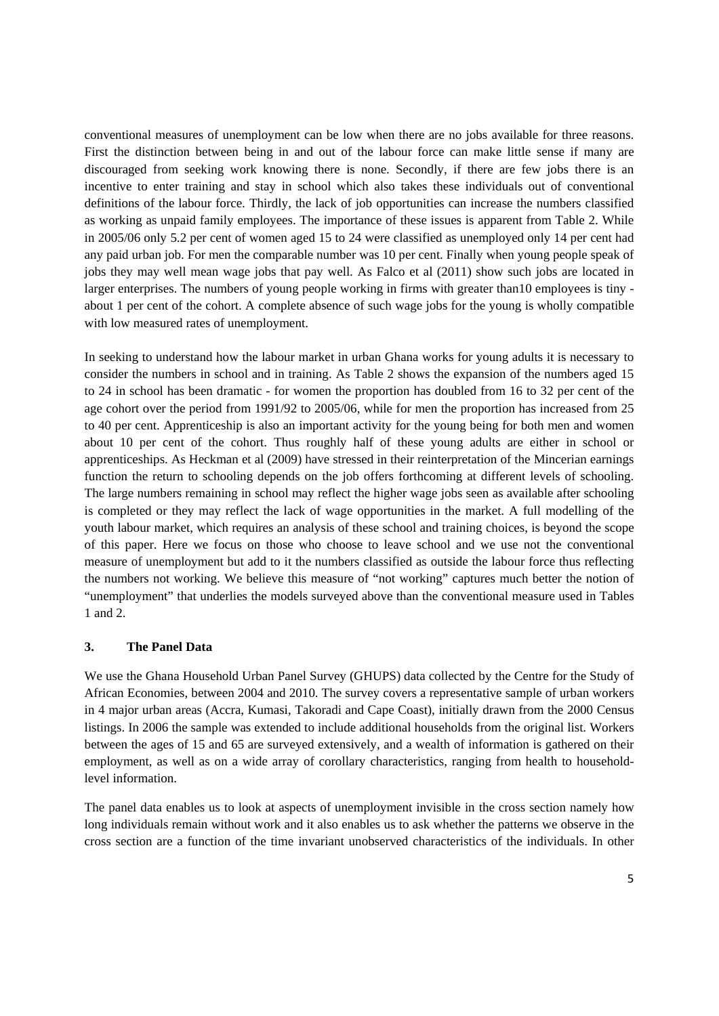conventional measures of unemployment can be low when there are no jobs available for three reasons. First the distinction between being in and out of the labour force can make little sense if many are discouraged from seeking work knowing there is none. Secondly, if there are few jobs there is an incentive to enter training and stay in school which also takes these individuals out of conventional definitions of the labour force. Thirdly, the lack of job opportunities can increase the numbers classified as working as unpaid family employees. The importance of these issues is apparent from Table 2. While in 2005/06 only 5.2 per cent of women aged 15 to 24 were classified as unemployed only 14 per cent had any paid urban job. For men the comparable number was 10 per cent. Finally when young people speak of jobs they may well mean wage jobs that pay well. As Falco et al (2011) show such jobs are located in larger enterprises. The numbers of young people working in firms with greater than10 employees is tiny about 1 per cent of the cohort. A complete absence of such wage jobs for the young is wholly compatible with low measured rates of unemployment.

In seeking to understand how the labour market in urban Ghana works for young adults it is necessary to consider the numbers in school and in training. As Table 2 shows the expansion of the numbers aged 15 to 24 in school has been dramatic - for women the proportion has doubled from 16 to 32 per cent of the age cohort over the period from 1991/92 to 2005/06, while for men the proportion has increased from 25 to 40 per cent. Apprenticeship is also an important activity for the young being for both men and women about 10 per cent of the cohort. Thus roughly half of these young adults are either in school or apprenticeships. As Heckman et al (2009) have stressed in their reinterpretation of the Mincerian earnings function the return to schooling depends on the job offers forthcoming at different levels of schooling. The large numbers remaining in school may reflect the higher wage jobs seen as available after schooling is completed or they may reflect the lack of wage opportunities in the market. A full modelling of the youth labour market, which requires an analysis of these school and training choices, is beyond the scope of this paper. Here we focus on those who choose to leave school and we use not the conventional measure of unemployment but add to it the numbers classified as outside the labour force thus reflecting the numbers not working. We believe this measure of "not working" captures much better the notion of "unemployment" that underlies the models surveyed above than the conventional measure used in Tables 1 and 2.

# **3. The Panel Data**

We use the Ghana Household Urban Panel Survey (GHUPS) data collected by the Centre for the Study of African Economies, between 2004 and 2010. The survey covers a representative sample of urban workers in 4 major urban areas (Accra, Kumasi, Takoradi and Cape Coast), initially drawn from the 2000 Census listings. In 2006 the sample was extended to include additional households from the original list. Workers between the ages of 15 and 65 are surveyed extensively, and a wealth of information is gathered on their employment, as well as on a wide array of corollary characteristics, ranging from health to householdlevel information.

The panel data enables us to look at aspects of unemployment invisible in the cross section namely how long individuals remain without work and it also enables us to ask whether the patterns we observe in the cross section are a function of the time invariant unobserved characteristics of the individuals. In other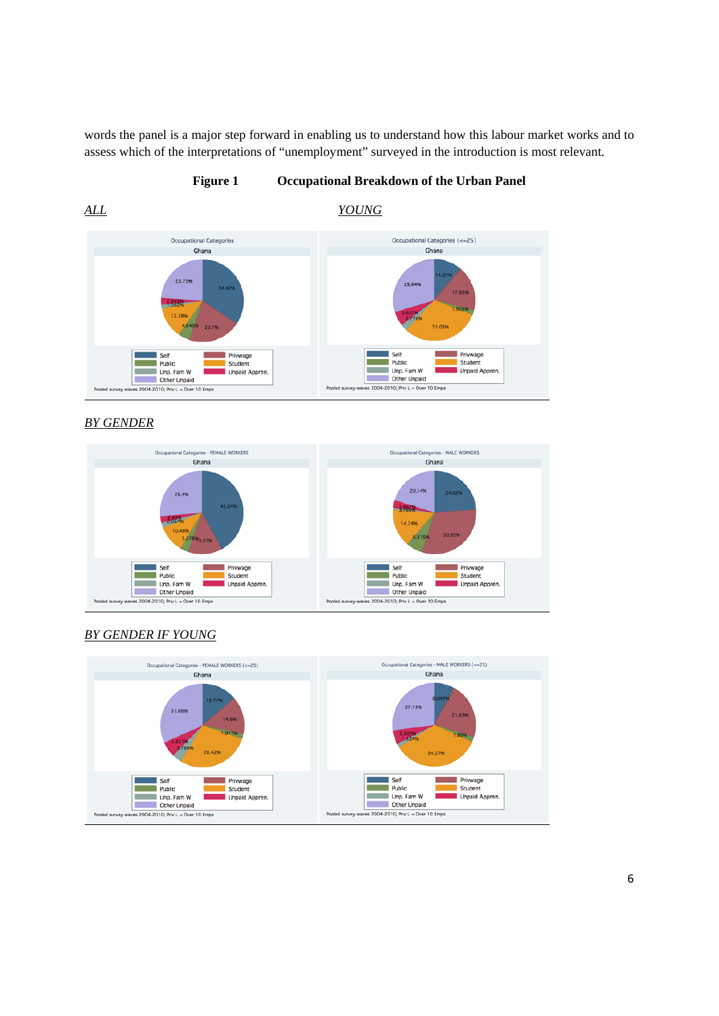words the panel is a major step forward in enabling us to understand how this labour market works and to assess which of the interpretations of "unemployment" surveyed in the introduction is most relevant.

# **Figure 1 Occupational Breakdown of the Urban Panel**

*ALL YOUNG*



*BY GENDER*





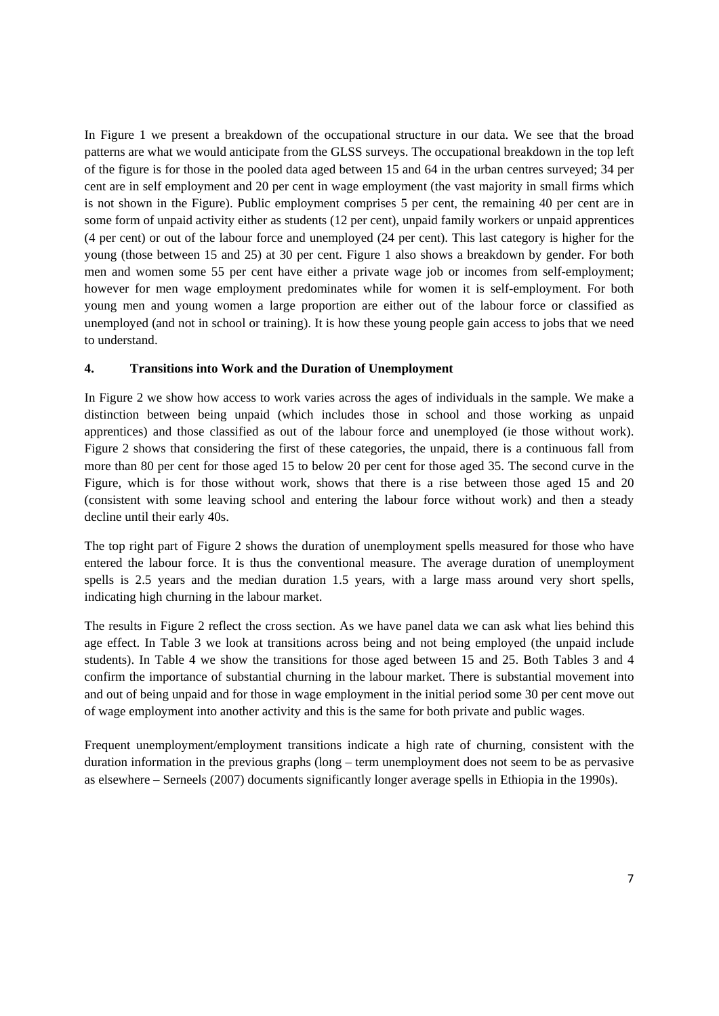In Figure 1 we present a breakdown of the occupational structure in our data. We see that the broad patterns are what we would anticipate from the GLSS surveys. The occupational breakdown in the top left of the figure is for those in the pooled data aged between 15 and 64 in the urban centres surveyed; 34 per cent are in self employment and 20 per cent in wage employment (the vast majority in small firms which is not shown in the Figure). Public employment comprises 5 per cent, the remaining 40 per cent are in some form of unpaid activity either as students (12 per cent), unpaid family workers or unpaid apprentices (4 per cent) or out of the labour force and unemployed (24 per cent). This last category is higher for the young (those between 15 and 25) at 30 per cent. Figure 1 also shows a breakdown by gender. For both men and women some 55 per cent have either a private wage job or incomes from self-employment; however for men wage employment predominates while for women it is self-employment. For both young men and young women a large proportion are either out of the labour force or classified as unemployed (and not in school or training). It is how these young people gain access to jobs that we need to understand.

# **4. Transitions into Work and the Duration of Unemployment**

In Figure 2 we show how access to work varies across the ages of individuals in the sample. We make a distinction between being unpaid (which includes those in school and those working as unpaid apprentices) and those classified as out of the labour force and unemployed (ie those without work). Figure 2 shows that considering the first of these categories, the unpaid, there is a continuous fall from more than 80 per cent for those aged 15 to below 20 per cent for those aged 35. The second curve in the Figure, which is for those without work, shows that there is a rise between those aged 15 and 20 (consistent with some leaving school and entering the labour force without work) and then a steady decline until their early 40s.

The top right part of Figure 2 shows the duration of unemployment spells measured for those who have entered the labour force. It is thus the conventional measure. The average duration of unemployment spells is 2.5 years and the median duration 1.5 years, with a large mass around very short spells, indicating high churning in the labour market.

The results in Figure 2 reflect the cross section. As we have panel data we can ask what lies behind this age effect. In Table 3 we look at transitions across being and not being employed (the unpaid include students). In Table 4 we show the transitions for those aged between 15 and 25. Both Tables 3 and 4 confirm the importance of substantial churning in the labour market. There is substantial movement into and out of being unpaid and for those in wage employment in the initial period some 30 per cent move out of wage employment into another activity and this is the same for both private and public wages.

Frequent unemployment/employment transitions indicate a high rate of churning, consistent with the duration information in the previous graphs (long – term unemployment does not seem to be as pervasive as elsewhere – Serneels (2007) documents significantly longer average spells in Ethiopia in the 1990s).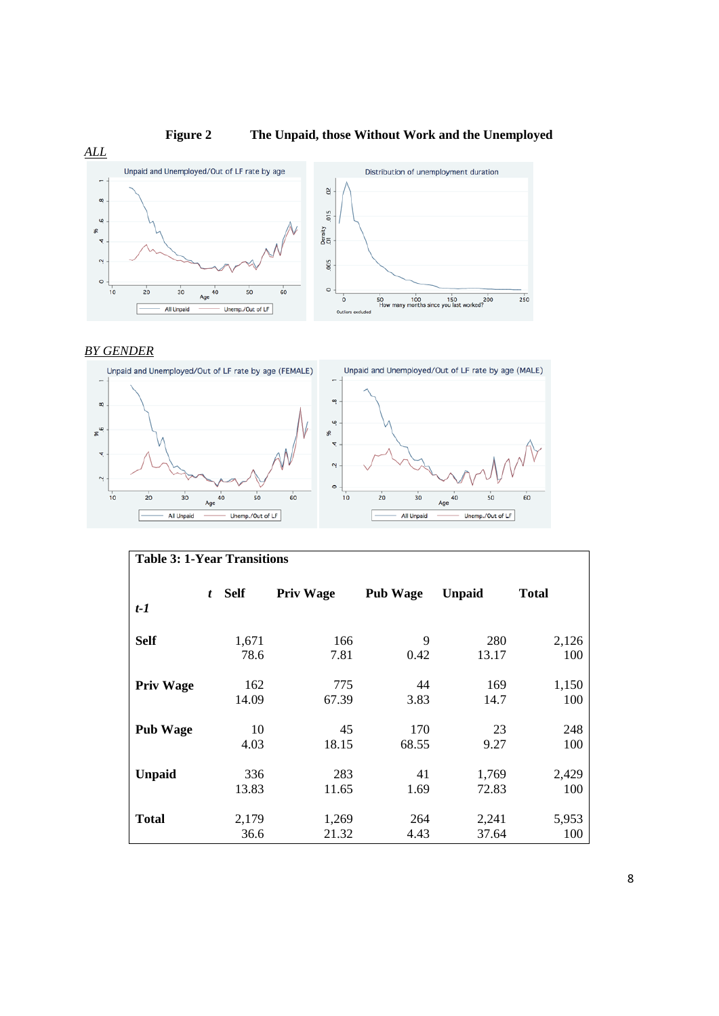

# *BY GENDER*



| <b>Table 3: 1-Year Transitions</b> |   |               |                  |                 |                |              |  |
|------------------------------------|---|---------------|------------------|-----------------|----------------|--------------|--|
| $t-1$                              | t | <b>Self</b>   | <b>Priv Wage</b> | <b>Pub Wage</b> | <b>Unpaid</b>  | <b>Total</b> |  |
| <b>Self</b>                        |   | 1,671<br>78.6 | 166<br>7.81      | 9<br>0.42       | 280<br>13.17   | 2,126<br>100 |  |
| <b>Priv Wage</b>                   |   | 162<br>14.09  | 775<br>67.39     | 44<br>3.83      | 169<br>14.7    | 1,150<br>100 |  |
| <b>Pub Wage</b>                    |   | 10<br>4.03    | 45<br>18.15      | 170<br>68.55    | 23<br>9.27     | 248<br>100   |  |
| <b>Unpaid</b>                      |   | 336<br>13.83  | 283<br>11.65     | 41<br>1.69      | 1,769<br>72.83 | 2,429<br>100 |  |
| <b>Total</b>                       |   | 2,179<br>36.6 | 1,269<br>21.32   | 264<br>4.43     | 2,241<br>37.64 | 5,953<br>100 |  |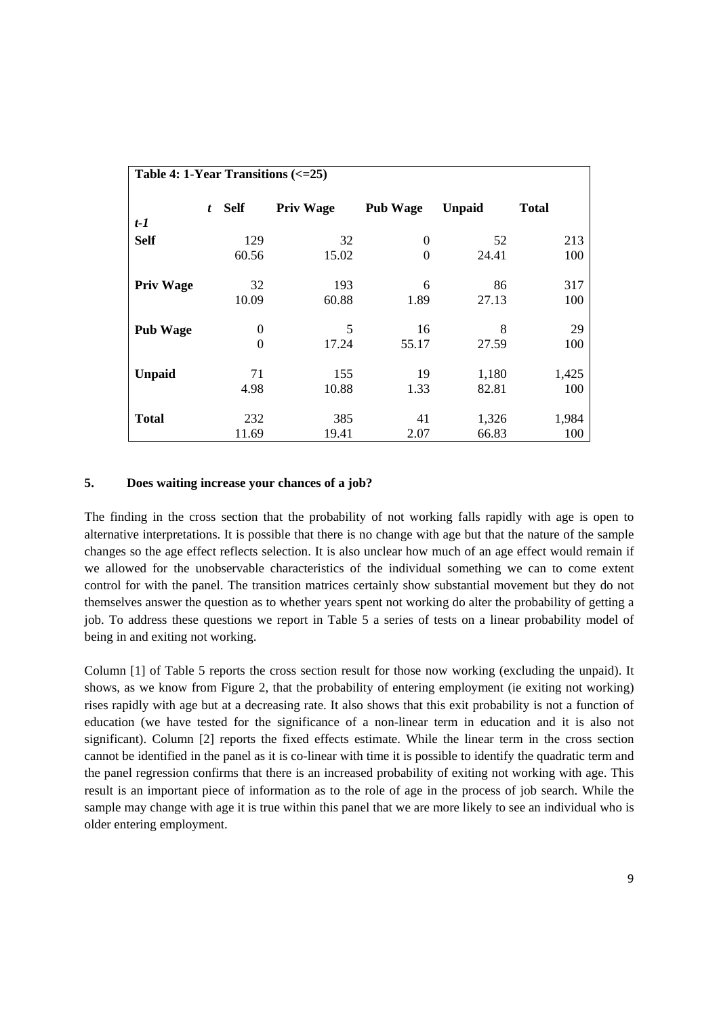| Table 4: 1-Year Transitions $\left(<=25\right)$ |   |             |                  |                 |               |              |  |
|-------------------------------------------------|---|-------------|------------------|-----------------|---------------|--------------|--|
|                                                 | t | <b>Self</b> | <b>Priv Wage</b> | <b>Pub Wage</b> | <b>Unpaid</b> | <b>Total</b> |  |
| $t-1$                                           |   |             |                  |                 |               |              |  |
| <b>Self</b>                                     |   | 129         | 32               | 0               | 52            | 213          |  |
|                                                 |   | 60.56       | 15.02            | $\theta$        | 24.41         | 100          |  |
| <b>Priv Wage</b>                                |   | 32          | 193              | 6               | 86            | 317          |  |
|                                                 |   | 10.09       | 60.88            | 1.89            | 27.13         | 100          |  |
| <b>Pub Wage</b>                                 |   | $\Omega$    | 5                | 16              | 8             | 29           |  |
|                                                 |   | $\theta$    | 17.24            | 55.17           | 27.59         | 100          |  |
| <b>Unpaid</b>                                   |   | 71          | 155              | 19              | 1,180         | 1,425        |  |
|                                                 |   | 4.98        | 10.88            | 1.33            | 82.81         | 100          |  |
| <b>Total</b>                                    |   | 232         | 385              | 41              | 1,326         | 1,984        |  |
|                                                 |   | 11.69       | 19.41            | 2.07            | 66.83         | 100          |  |

# **5. Does waiting increase your chances of a job?**

The finding in the cross section that the probability of not working falls rapidly with age is open to alternative interpretations. It is possible that there is no change with age but that the nature of the sample changes so the age effect reflects selection. It is also unclear how much of an age effect would remain if we allowed for the unobservable characteristics of the individual something we can to come extent control for with the panel. The transition matrices certainly show substantial movement but they do not themselves answer the question as to whether years spent not working do alter the probability of getting a job. To address these questions we report in Table 5 a series of tests on a linear probability model of being in and exiting not working.

Column [1] of Table 5 reports the cross section result for those now working (excluding the unpaid). It shows, as we know from Figure 2, that the probability of entering employment (ie exiting not working) rises rapidly with age but at a decreasing rate. It also shows that this exit probability is not a function of education (we have tested for the significance of a non-linear term in education and it is also not significant). Column [2] reports the fixed effects estimate. While the linear term in the cross section cannot be identified in the panel as it is co-linear with time it is possible to identify the quadratic term and the panel regression confirms that there is an increased probability of exiting not working with age. This result is an important piece of information as to the role of age in the process of job search. While the sample may change with age it is true within this panel that we are more likely to see an individual who is older entering employment.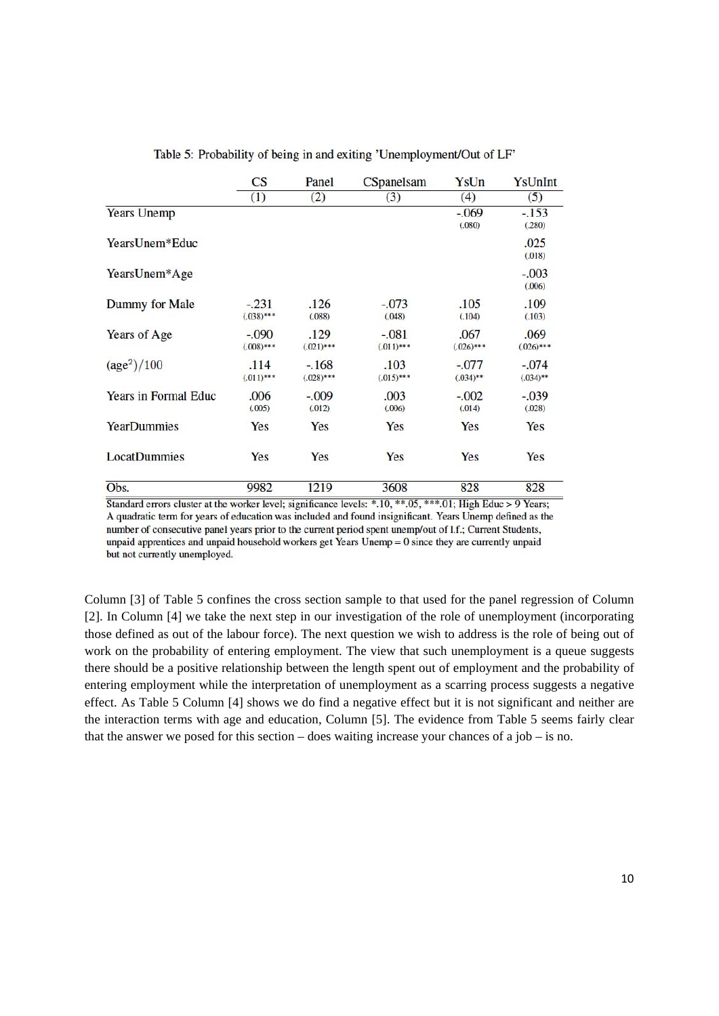|                             | $\mathbf{C}\mathbf{S}$ | Panel                   | CSpanelsam             | YsUn                   | YsUnInt                |
|-----------------------------|------------------------|-------------------------|------------------------|------------------------|------------------------|
|                             | (1)                    | (2)                     | (3)                    | (4)                    | (5)                    |
| <b>Years Unemp</b>          |                        |                         |                        | $-.069$<br>(.080)      | $-153$<br>(.280)       |
| YearsUnem*Educ              |                        |                         |                        |                        | .025<br>(.018)         |
| YearsUnem*Age               |                        |                         |                        |                        | $-.003$<br>(.006)      |
| Dummy for Male              | $-.231$<br>$(.038)***$ | .126<br>(.088)          | $-.073$<br>(.048)      | .105<br>(.104)         | .109<br>(.103)         |
| Years of Age                | $-.090$<br>$(.008)***$ | .129<br>$(.021)***$     | $-.081$<br>$(.011)***$ | .067<br>$(.026)***$    | .069<br>$(.026)***$    |
| (age <sup>2</sup> )/100     | .114<br>$(.011)***$    | $-.168$<br>$(.028)$ *** | .103<br>$(.015)***$    | $-.077$<br>$(.034)$ ** | $-.074$<br>$(.034)$ ** |
| <b>Years in Formal Educ</b> | .006<br>(.005)         | $-.009$<br>(.012)       | .003<br>(.006)         | $-.002$<br>(.014)      | $-.039$<br>(.028)      |
| <b>YearDummies</b>          | Yes                    | Yes                     | Yes                    | Yes                    | Yes                    |
| <b>LocatDummies</b>         | Yes                    | Yes                     | Yes                    | Yes                    | Yes                    |
| Obs.                        | 9982                   | 1219                    | 3608                   | 828                    | 828                    |

Table 5: Probability of being in and exiting 'Unemployment/Out of LF'

Standard errors cluster at the worker level; significance levels: \*.10, \*\*.05, \*\*\*.01; High Educ > 9 Years; A quadratic term for years of education was included and found insignificant. Years Unemp defined as the number of consecutive panel years prior to the current period spent unemp/out of l.f.; Current Students, unpaid apprentices and unpaid household workers get Years Unemp = 0 since they are currently unpaid but not currently unemployed.

Column [3] of Table 5 confines the cross section sample to that used for the panel regression of Column [2]. In Column [4] we take the next step in our investigation of the role of unemployment (incorporating those defined as out of the labour force). The next question we wish to address is the role of being out of work on the probability of entering employment. The view that such unemployment is a queue suggests there should be a positive relationship between the length spent out of employment and the probability of entering employment while the interpretation of unemployment as a scarring process suggests a negative effect. As Table 5 Column [4] shows we do find a negative effect but it is not significant and neither are the interaction terms with age and education, Column [5]. The evidence from Table 5 seems fairly clear that the answer we posed for this section – does waiting increase your chances of a job – is no.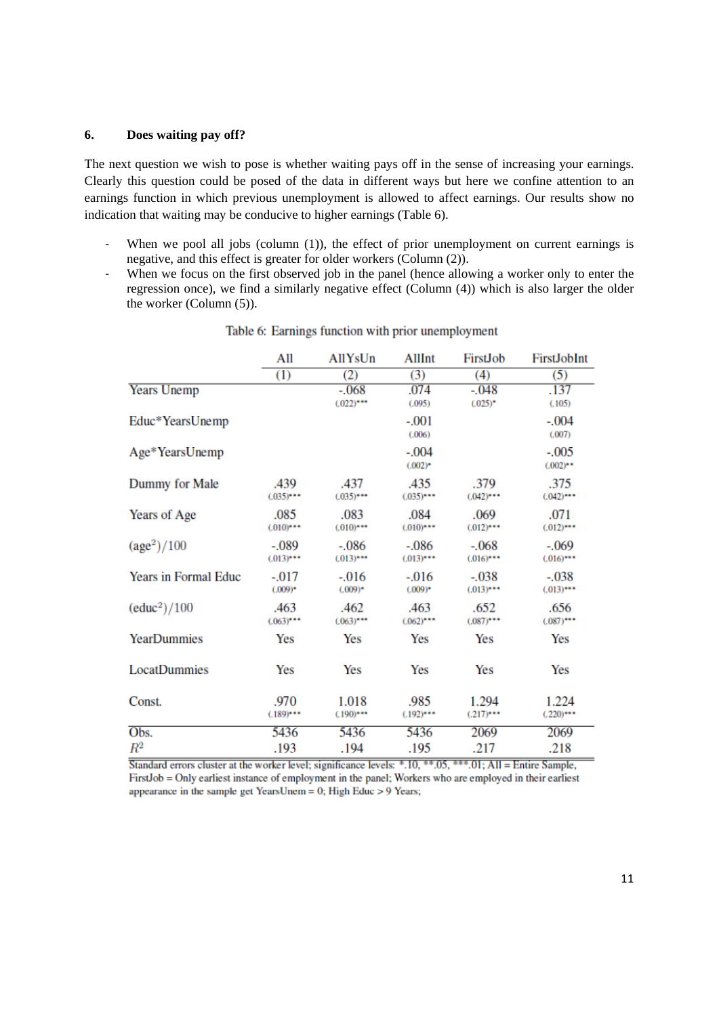### **6. Does waiting pay off?**

The next question we wish to pose is whether waiting pays off in the sense of increasing your earnings. Clearly this question could be posed of the data in different ways but here we confine attention to an earnings function in which previous unemployment is allowed to affect earnings. Our results show no indication that waiting may be conducive to higher earnings (Table 6).

- ‐ When we pool all jobs (column (1)), the effect of prior unemployment on current earnings is negative, and this effect is greater for older workers (Column (2)).
- ‐ When we focus on the first observed job in the panel (hence allowing a worker only to enter the regression once), we find a similarly negative effect (Column (4)) which is also larger the older the worker (Column (5)).

|                             | All                    | AllYsUn                | AllInt                 | FirstJob               | FirstJobInt            |
|-----------------------------|------------------------|------------------------|------------------------|------------------------|------------------------|
|                             | (1)                    | (2)                    | (3)                    | (4)                    | (5)                    |
| <b>Years Unemp</b>          |                        | $-.068$<br>$(.022)***$ | .074<br>(.095)         | $-.048$<br>$(.025)^*$  | .137<br>(.105)         |
| Educ*YearsUnemp             |                        |                        | $-.001$<br>(.006)      |                        | $-.004$<br>(.007)      |
| Age*YearsUnemp              |                        |                        | $-.004$<br>$(.002)^*$  |                        | $-.005$<br>$(.002)$ ** |
| Dummy for Male              | .439<br>$(.035)***$    | .437<br>$(.035)***$    | .435<br>$(.035)***$    | .379<br>$(.042)***$    | .375<br>$(.042)***$    |
| Years of Age                | .085<br>$(010)***$     | .083<br>$(.010)***$    | .084<br>$(.010)***$    | .069<br>$(.012)***$    | .071<br>$(012)***$     |
| (age <sup>2</sup> )/100     | $-.089$<br>$(.013)***$ | $-.086$<br>$(.013)***$ | $-.086$<br>$(.013)***$ | $-.068$<br>$(.016)***$ | $-.069$<br>$(.016)***$ |
| <b>Years in Formal Educ</b> | $-.017$<br>$(.009)$ *  | $-.016$<br>$(.009)$ *  | $-0.016$<br>$(.009)^*$ | $-.038$<br>$(.013)***$ | $-.038$<br>$(.013)***$ |
| (educ <sup>2</sup> )/100    | .463<br>$(.063)^{***}$ | .462<br>$(.063)***$    | .463<br>$(.062)***$    | .652<br>$(.087)***$    | .656<br>$(.087)$ ***   |
| <b>YearDummies</b>          | Yes                    | Yes                    | Yes                    | Yes                    | Yes                    |
| LocatDummies                | Yes                    | Yes                    | Yes                    | Yes                    | Yes                    |
| Const.                      | .970<br>$(.189)***$    | 1.018<br>$(.190)$ ***  | .985<br>$(.192)***$    | 1.294<br>$(.217)***$   | 1.224<br>$(.220)***$   |
| Obs.                        | 5436                   | 5436                   | 5436                   | 2069                   | 2069                   |
| $\mathbb{R}^2$              | .193                   | .194                   | .195                   | .217                   | .218                   |

### Table 6: Earnings function with prior unemployment

Standard errors cluster at the worker level; significance levels: \*.10, \*\*.05, \*\*\*.01; All = Entire Sample, FirstJob = Only earliest instance of employment in the panel; Workers who are employed in their earliest appearance in the sample get YearsUnem = 0; High Educ  $> 9$  Years;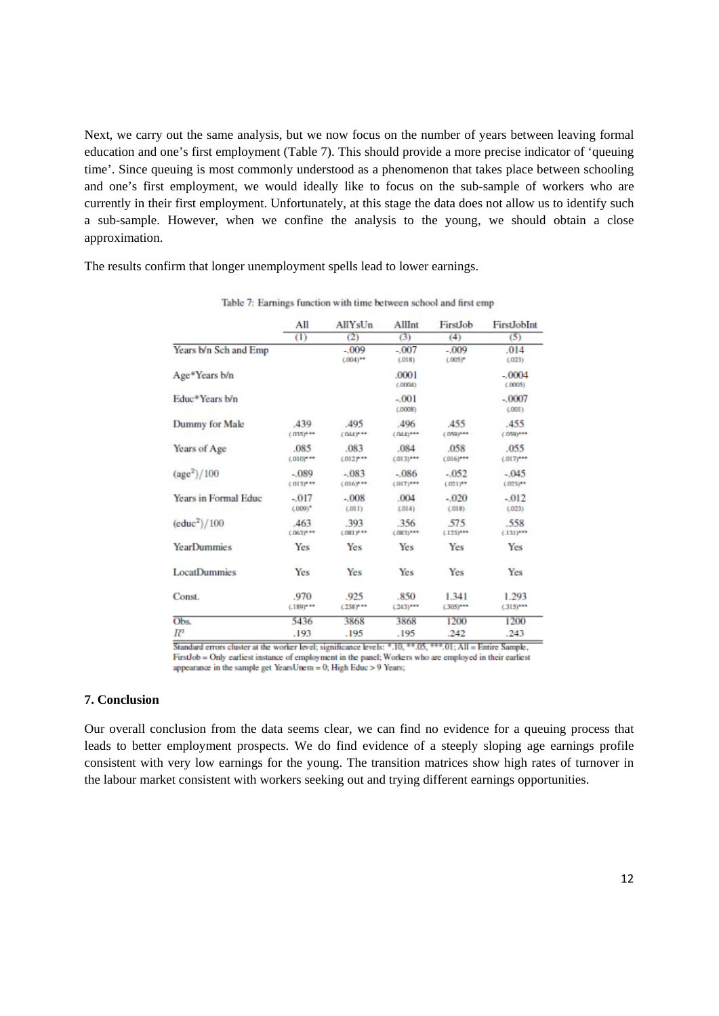Next, we carry out the same analysis, but we now focus on the number of years between leaving formal education and one's first employment (Table 7). This should provide a more precise indicator of 'queuing time'. Since queuing is most commonly understood as a phenomenon that takes place between schooling and one's first employment, we would ideally like to focus on the sub-sample of workers who are currently in their first employment. Unfortunately, at this stage the data does not allow us to identify such a sub-sample. However, when we confine the analysis to the young, we should obtain a close approximation.

The results confirm that longer unemployment spells lead to lower earnings.

|                       | All<br>$\overline{(\mathbf{1})}$ | AllYsUn                    |                         | FirstJob                | FirstJobInt             |
|-----------------------|----------------------------------|----------------------------|-------------------------|-------------------------|-------------------------|
|                       |                                  | (2)                        | (3)                     | (4)                     | (5)                     |
| Years b/n Sch and Emp |                                  | $-0.009$<br>$(.004)^{***}$ | $-.007$<br>(.018)       | $-.009$<br>$(.005)^*$   | .014<br>(.023)          |
| Age*Years b/n         |                                  |                            | .0001<br>(.0004)        |                         | $-.0004$<br>(.0005)     |
| Educ*Years b/n        |                                  |                            | $-001$<br>(.0008)       |                         | $-.0007$<br>L001        |
| Dummy for Male        | 439<br>$(035)^{n+m}$             | 495<br>$(044)^{n+m}$       | .496<br>$(044)^{***}$   | 455<br>$(059)^{***}$    | .455<br>$(059)^{***}$   |
| Years of Age          | .085<br>$0.0101$ ***             | .083<br>$0.012$ y **       | .084<br>$(013)***$      | .058<br>$(016)***$      | .055<br>$(.017)^{***}$  |
| $(age^2)/100$         | $-089$<br>$0.0131***$            | $-083$<br>$(016)^{n+m}$    | $-086$<br>$(017)^{***}$ | $-.052$<br>$(021)^{**}$ | $-.045$<br>$(123)^{**}$ |
| Years in Formal Educ  | $-.017$<br>$LDO9$ )*             | $-.008$<br>(.011)          | .004<br>(014)           | $-.020$<br>L018         | $-012$<br>(023)         |
| $(educ^2)/100$        | .463<br>$(0.063)^{0.06}$         | .393<br>$0.081$ y **       | 356<br>$(.083)^{***}$   | 575<br>$(.123)^{***}$   | .558<br>$(.131)^{***}$  |
| <b>YearDummies</b>    | Yes                              | Yes                        | Yes                     | Yes                     | Yes                     |
| <b>LocatDummies</b>   | Yes                              | Yes                        | Yes                     | Yes                     | Yes                     |
| Const.                | .970<br>$(.189)^{***}$           | .925<br>$(.238)^{n-m}$     | .850<br>$(.243)***$     | 1.341<br>$(.305)^{***}$ | 1.293<br>$(.315)^{***}$ |
| Obs.                  | 5436                             | 3868                       | 3868                    | 1200                    | 1200                    |
| $\mathbb{R}^2$        | .193                             | .195                       | .195                    | .242                    | .243                    |

Table 7: Earnings function with time between school and first emp

Standard errors cluster at the worker level; significance levels: \*.10, \*\*.05, \*\*\*.01; All = Entire Sample, FirstJob = Only earliest instance of employment in the panel; Workers who are employed in their earliest appearance in the sample get YearsUnem = 0; High Educ > 9 Years;

### **7. Conclusion**

Our overall conclusion from the data seems clear, we can find no evidence for a queuing process that leads to better employment prospects. We do find evidence of a steeply sloping age earnings profile consistent with very low earnings for the young. The transition matrices show high rates of turnover in the labour market consistent with workers seeking out and trying different earnings opportunities.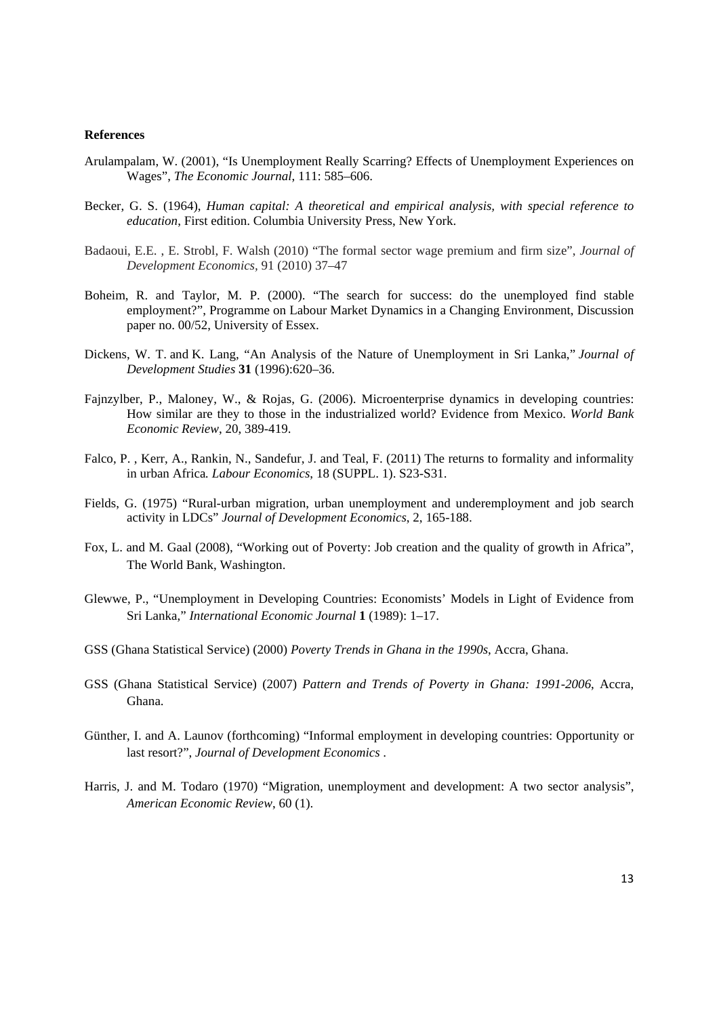#### **References**

- Arulampalam, W. (2001), "Is Unemployment Really Scarring? Effects of Unemployment Experiences on Wages", *The Economic Journal*, 111: 585–606.
- Becker, G. S. (1964), *Human capital: A theoretical and empirical analysis, with special reference to education*, First edition. Columbia University Press, New York.
- Badaoui, E.E. , E. Strobl, F. Walsh (2010) "The formal sector wage premium and firm size", *Journal of Development Economics,* 91 (2010) 37–47
- Boheim, R. and Taylor, M. P. (2000). "The search for success: do the unemployed find stable employment?", Programme on Labour Market Dynamics in a Changing Environment, Discussion paper no. 00/52, University of Essex.
- Dickens, W. T. and K. Lang, "An Analysis of the Nature of Unemployment in Sri Lanka," *Journal of Development Studies* **31** (1996):620–36.
- Fajnzylber, P., Maloney, W., & Rojas, G. (2006). Microenterprise dynamics in developing countries: How similar are they to those in the industrialized world? Evidence from Mexico. *World Bank Economic Review*, 20, 389-419.
- Falco, P. , Kerr, A., Rankin, N., Sandefur, J. and Teal, F. (2011) The returns to formality and informality in urban Africa*. Labour Economics*, 18 (SUPPL. 1). S23-S31.
- Fields, G. (1975) "Rural-urban migration, urban unemployment and underemployment and job search activity in LDCs" *Journal of Development Economics*, 2, 165-188.
- Fox, L. and M. Gaal (2008), "Working out of Poverty: Job creation and the quality of growth in Africa", The World Bank, Washington.
- Glewwe, P., "Unemployment in Developing Countries: Economists' Models in Light of Evidence from Sri Lanka," *International Economic Journal* **1** (1989): 1–17.
- GSS (Ghana Statistical Service) (2000) *Poverty Trends in Ghana in the 1990s*, Accra, Ghana.
- GSS (Ghana Statistical Service) (2007) *Pattern and Trends of Poverty in Ghana: 1991-2006*, Accra, Ghana.
- Günther, I. and A. Launov (forthcoming) "Informal employment in developing countries: Opportunity or last resort?", *Journal of Development Economics* .
- Harris, J. and M. Todaro (1970) "Migration, unemployment and development: A two sector analysis", *American Economic Review*, 60 (1).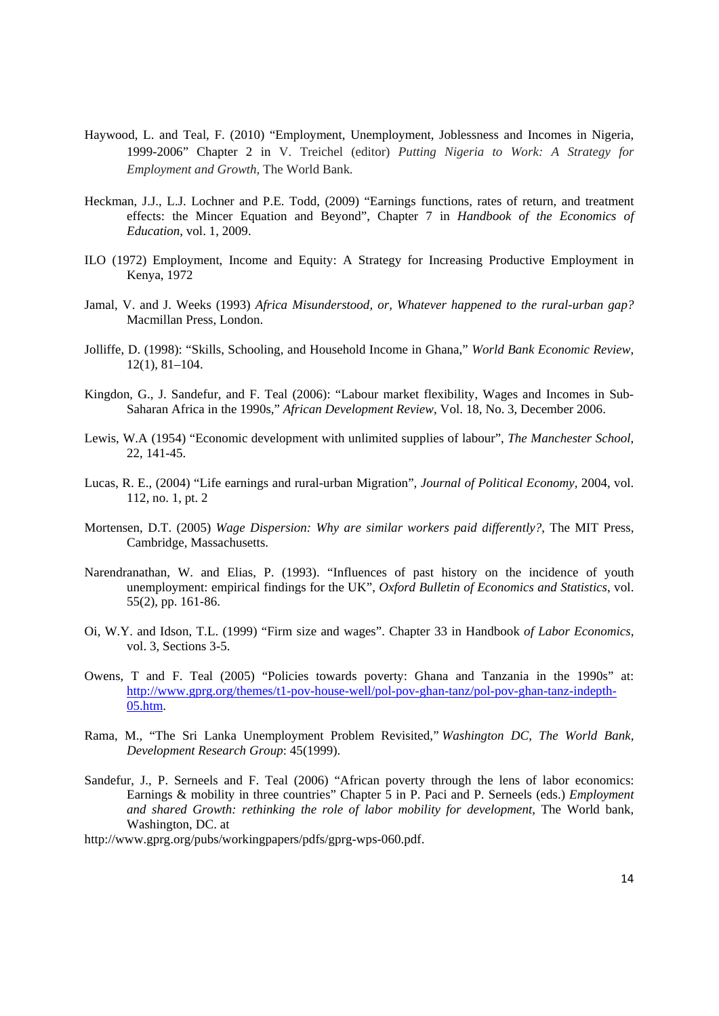- Haywood, L. and Teal, F. (2010) "Employment, Unemployment, Joblessness and Incomes in Nigeria, 1999-2006" Chapter 2 in V. Treichel (editor) *Putting Nigeria to Work: A Strategy for Employment and Growth,* The World Bank*.*
- Heckman, J.J., L.J. Lochner and P.E. Todd, (2009) "Earnings functions, rates of return, and treatment effects: the Mincer Equation and Beyond", Chapter 7 in *Handbook of the Economics of Education*, vol. 1, 2009.
- ILO (1972) Employment, Income and Equity: A Strategy for Increasing Productive Employment in Kenya, 1972
- Jamal, V. and J. Weeks (1993) *Africa Misunderstood, or, Whatever happened to the rural-urban gap?* Macmillan Press, London.
- Jolliffe, D. (1998): "Skills, Schooling, and Household Income in Ghana," *World Bank Economic Review*, 12(1), 81–104.
- Kingdon, G., J. Sandefur, and F. Teal (2006): "Labour market flexibility, Wages and Incomes in Sub-Saharan Africa in the 1990s," *African Development Review*, Vol. 18, No. 3, December 2006.
- Lewis, W.A (1954) "Economic development with unlimited supplies of labour", *The Manchester School*, 22, 141-45.
- Lucas, R. E., (2004) "Life earnings and rural-urban Migration", *Journal of Political Economy,* 2004, vol. 112, no. 1, pt. 2
- Mortensen, D.T. (2005) *Wage Dispersion: Why are similar workers paid differently?*, The MIT Press, Cambridge, Massachusetts.
- Narendranathan, W. and Elias, P. (1993). "Influences of past history on the incidence of youth unemployment: empirical findings for the UK", *Oxford Bulletin of Economics and Statistics*, vol. 55(2), pp. 161-86.
- Oi, W.Y. and Idson, T.L. (1999) "Firm size and wages". Chapter 33 in Handbook *of Labor Economics*, vol. 3, Sections 3-5.
- Owens, T and F. Teal (2005) "Policies towards poverty: Ghana and Tanzania in the 1990s" at: http://www.gprg.org/themes/t1-pov-house-well/pol-pov-ghan-tanz/pol-pov-ghan-tanz-indepth-05.htm.
- Rama, M., "The Sri Lanka Unemployment Problem Revisited," *Washington DC, The World Bank, Development Research Group*: 45(1999).
- Sandefur, J., P. Serneels and F. Teal (2006) "African poverty through the lens of labor economics: Earnings & mobility in three countries" Chapter 5 in P. Paci and P. Serneels (eds.) *Employment and shared Growth: rethinking the role of labor mobility for development*, The World bank, Washington, DC. at

http://www.gprg.org/pubs/workingpapers/pdfs/gprg-wps-060.pdf.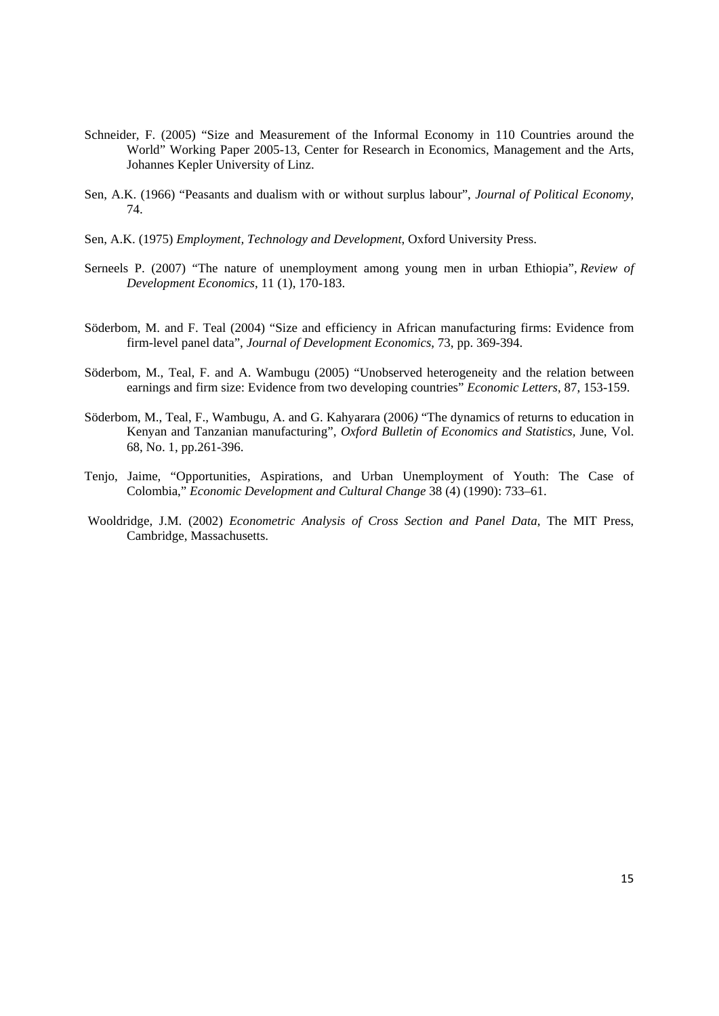- Schneider, F. (2005) "Size and Measurement of the Informal Economy in 110 Countries around the World" Working Paper 2005-13, Center for Research in Economics, Management and the Arts, Johannes Kepler University of Linz.
- Sen, A.K. (1966) "Peasants and dualism with or without surplus labour", *Journal of Political Economy*, 74.
- Sen, A.K. (1975) *Employment, Technology and Development*, Oxford University Press.
- Serneels P. (2007) "The nature of unemployment among young men in urban Ethiopia", *Review of Development Economics*, 11 (1), 170-183.
- Söderbom, M. and F. Teal (2004) "Size and efficiency in African manufacturing firms: Evidence from firm-level panel data", *Journal of Development Economics*, 73, pp. 369-394.
- Söderbom, M., Teal, F. and A. Wambugu (2005) "Unobserved heterogeneity and the relation between earnings and firm size: Evidence from two developing countries" *Economic Letters*, 87, 153-159.
- Söderbom, M., Teal, F., Wambugu, A. and G. Kahyarara (2006*)* "The dynamics of returns to education in Kenyan and Tanzanian manufacturing", *Oxford Bulletin of Economics and Statistics,* June, Vol. 68, No. 1, pp.261-396.
- Tenjo, Jaime, "Opportunities, Aspirations, and Urban Unemployment of Youth: The Case of Colombia," *Economic Development and Cultural Change* 38 (4) (1990): 733–61.
- Wooldridge, J.M. (2002) *Econometric Analysis of Cross Section and Panel Data*, The MIT Press, Cambridge, Massachusetts.